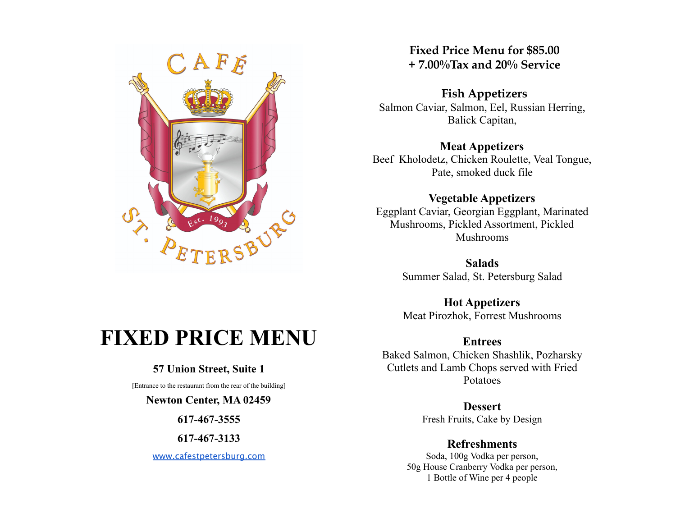

# **Fixed Price Menu for \$85.00 + 7.00%Tax and 20% Service**

## **Fish Appetizers**

Salmon Caviar, Salmon, Eel, Russian Herring, Balick Capitan,

#### **Meat Appetizers**

Beef Kholodetz, Chicken Roulette, Veal Tongue, Pate, smoked duck file

### **Vegetable Appetizers**

Eggplant Caviar, Georgian Eggplant, Marinated Mushrooms, Pickled Assortment, Pickled Mushrooms

> **Salads** Summer Salad, St. Petersburg Salad

> **Hot Appetizers** Meat Pirozhok, Forrest Mushrooms

**Entrees** Baked Salmon, Chicken Shashlik, Pozharsky Cutlets and Lamb Chops served with Fried Potatoes

> **Dessert** Fresh Fruits, Cake by Design

## **Refreshments**

Soda, 100g Vodka per person, 50g House Cranberry Vodka per person, 1 Bottle of Wine per 4 people

# **FIXED PRICE MENU**

## **57 Union Street, Suite 1**

[Entrance to the restaurant from the rear of the building]

#### **Newton Center, MA 02459**

**617-467-3555**

**617-467-3133**

[www.cafestpetersburg.com](http://www.cafestpetersburg.com)